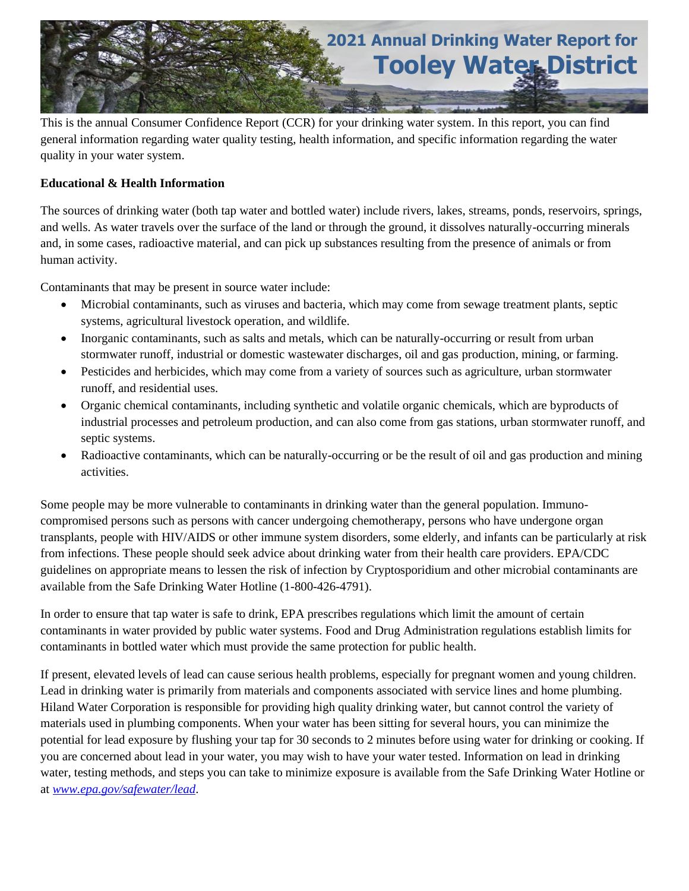

This is the annual Consumer Confidence Report (CCR) for your drinking water system. In this report, you can find general information regarding water quality testing, health information, and specific information regarding the water quality in your water system.

## **Educational & Health Information**

The sources of drinking water (both tap water and bottled water) include rivers, lakes, streams, ponds, reservoirs, springs, and wells. As water travels over the surface of the land or through the ground, it dissolves naturally-occurring minerals and, in some cases, radioactive material, and can pick up substances resulting from the presence of animals or from human activity.

Contaminants that may be present in source water include:

- Microbial contaminants, such as viruses and bacteria, which may come from sewage treatment plants, septic systems, agricultural livestock operation, and wildlife.
- Inorganic contaminants, such as salts and metals, which can be naturally-occurring or result from urban stormwater runoff, industrial or domestic wastewater discharges, oil and gas production, mining, or farming.
- Pesticides and herbicides, which may come from a variety of sources such as agriculture, urban stormwater runoff, and residential uses.
- Organic chemical contaminants, including synthetic and volatile organic chemicals, which are byproducts of industrial processes and petroleum production, and can also come from gas stations, urban stormwater runoff, and septic systems.
- Radioactive contaminants, which can be naturally-occurring or be the result of oil and gas production and mining activities.

Some people may be more vulnerable to contaminants in drinking water than the general population. Immunocompromised persons such as persons with cancer undergoing chemotherapy, persons who have undergone organ transplants, people with HIV/AIDS or other immune system disorders, some elderly, and infants can be particularly at risk from infections. These people should seek advice about drinking water from their health care providers. EPA/CDC guidelines on appropriate means to lessen the risk of infection by Cryptosporidium and other microbial contaminants are available from the Safe Drinking Water Hotline (1-800-426-4791).

In order to ensure that tap water is safe to drink, EPA prescribes regulations which limit the amount of certain contaminants in water provided by public water systems. Food and Drug Administration regulations establish limits for contaminants in bottled water which must provide the same protection for public health.

If present, elevated levels of lead can cause serious health problems, especially for pregnant women and young children. Lead in drinking water is primarily from materials and components associated with service lines and home plumbing. Hiland Water Corporation is responsible for providing high quality drinking water, but cannot control the variety of materials used in plumbing components. When your water has been sitting for several hours, you can minimize the potential for lead exposure by flushing your tap for 30 seconds to 2 minutes before using water for drinking or cooking. If you are concerned about lead in your water, you may wish to have your water tested. Information on lead in drinking water, testing methods, and steps you can take to minimize exposure is available from the Safe Drinking Water Hotline or at *[www.epa.gov/safewater/lead](http://water.epa.gov/drink/info/lead/index.cfm)*.